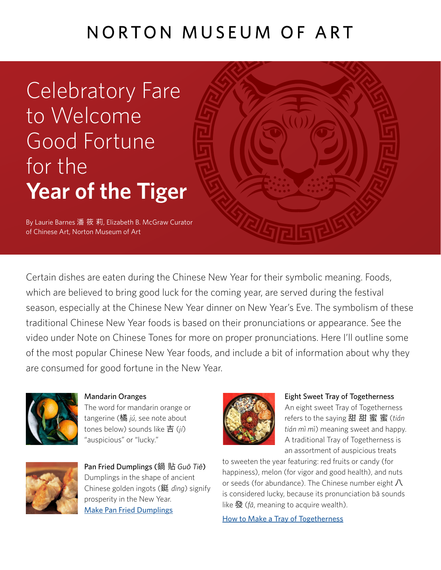# NORTON MUSEUM OF ART

Celebratory Fare to Welcome Good Fortune for the **Year of the Tiger**

By Laurie Barnes 潘 筱 莉, Elizabeth B. McGraw Curator of Chinese Art, Norton Museum of Art

Certain dishes are eaten during the Chinese New Year for their symbolic meaning. Foods, which are believed to bring good luck for the coming year, are served during the festival season, especially at the Chinese New Year dinner on New Year's Eve. The symbolism of these traditional Chinese New Year foods is based on their pronunciations or appearance. See the video under Note on Chinese Tones for more on proper pronunciations. Here I'll outline some of the most popular Chinese New Year foods, and include a bit of information about why they are consumed for good fortune in the New Year.



Mandarin Oranges

The word for mandarin orange or tangerine (橘 *jú*, see note about tones below) sounds like 吉 (*jí*) "auspicious" or "lucky."



Pan Fried Dumplings (鍋 貼 *Gu*ō *Ti*ē) Dumplings in the shape of ancient Chinese golden ingots (鋌 *dìng*) signify prosperity in the New Year. [Make Pan Fried Dumplings](https://tinyurbankitchen.com/Chinese-new-year-video-with-nina/)



#### Eight Sweet Tray of Togetherness

An eight sweet Tray of Togetherness refers to the saying 甜 甜 蜜 蜜 (*tián tián mì mì*) meaning sweet and happy. A traditional Tray of Togetherness is an assortment of auspicious treats

to sweeten the year featuring: red fruits or candy (for happiness), melon (for vigor and good health), and nuts or seeds (for abundance). The Chinese number eight  $\Lambda$ is considered lucky, because its pronunciation bā sounds like 發 (*fā*, meaning to acquire wealth).

[How to Make a Tray of Togetherness](https://www.chineseamericanfamily.com/how-to-make-a-tray-of-togetherness/)